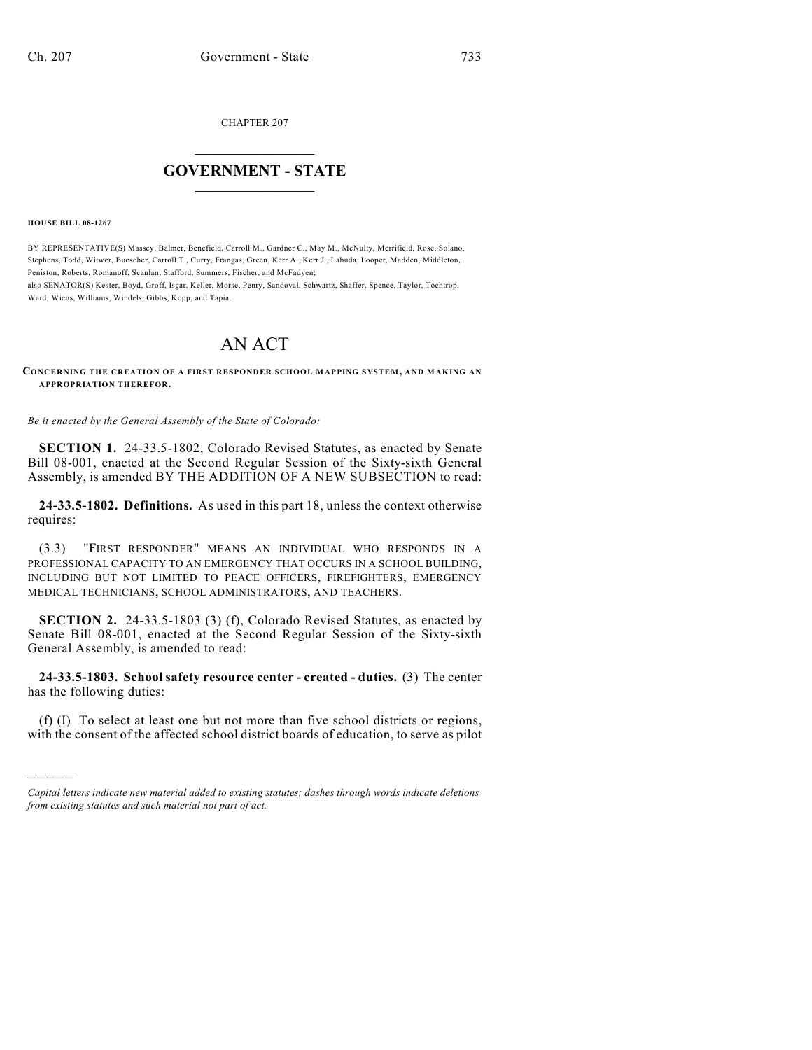CHAPTER 207

## $\mathcal{L}_\text{max}$  . The set of the set of the set of the set of the set of the set of the set of the set of the set of the set of the set of the set of the set of the set of the set of the set of the set of the set of the set **GOVERNMENT - STATE**  $\_$   $\_$

**HOUSE BILL 08-1267**

)))))

BY REPRESENTATIVE(S) Massey, Balmer, Benefield, Carroll M., Gardner C., May M., McNulty, Merrifield, Rose, Solano, Stephens, Todd, Witwer, Buescher, Carroll T., Curry, Frangas, Green, Kerr A., Kerr J., Labuda, Looper, Madden, Middleton, Peniston, Roberts, Romanoff, Scanlan, Stafford, Summers, Fischer, and McFadyen;

also SENATOR(S) Kester, Boyd, Groff, Isgar, Keller, Morse, Penry, Sandoval, Schwartz, Shaffer, Spence, Taylor, Tochtrop, Ward, Wiens, Williams, Windels, Gibbs, Kopp, and Tapia.

## AN ACT

**CONCERNING THE CREATION OF A FIRST RESPONDER SCHOOL MAPPING SYSTEM, AND MAKING AN APPROPRIATION THEREFOR.**

*Be it enacted by the General Assembly of the State of Colorado:*

**SECTION 1.** 24-33.5-1802, Colorado Revised Statutes, as enacted by Senate Bill 08-001, enacted at the Second Regular Session of the Sixty-sixth General Assembly, is amended BY THE ADDITION OF A NEW SUBSECTION to read:

**24-33.5-1802. Definitions.** As used in this part 18, unless the context otherwise requires:

(3.3) "FIRST RESPONDER" MEANS AN INDIVIDUAL WHO RESPONDS IN A PROFESSIONAL CAPACITY TO AN EMERGENCY THAT OCCURS IN A SCHOOL BUILDING, INCLUDING BUT NOT LIMITED TO PEACE OFFICERS, FIREFIGHTERS, EMERGENCY MEDICAL TECHNICIANS, SCHOOL ADMINISTRATORS, AND TEACHERS.

**SECTION 2.** 24-33.5-1803 (3) (f), Colorado Revised Statutes, as enacted by Senate Bill 08-001, enacted at the Second Regular Session of the Sixty-sixth General Assembly, is amended to read:

**24-33.5-1803. School safety resource center - created - duties.** (3) The center has the following duties:

(f) (I) To select at least one but not more than five school districts or regions, with the consent of the affected school district boards of education, to serve as pilot

*Capital letters indicate new material added to existing statutes; dashes through words indicate deletions from existing statutes and such material not part of act.*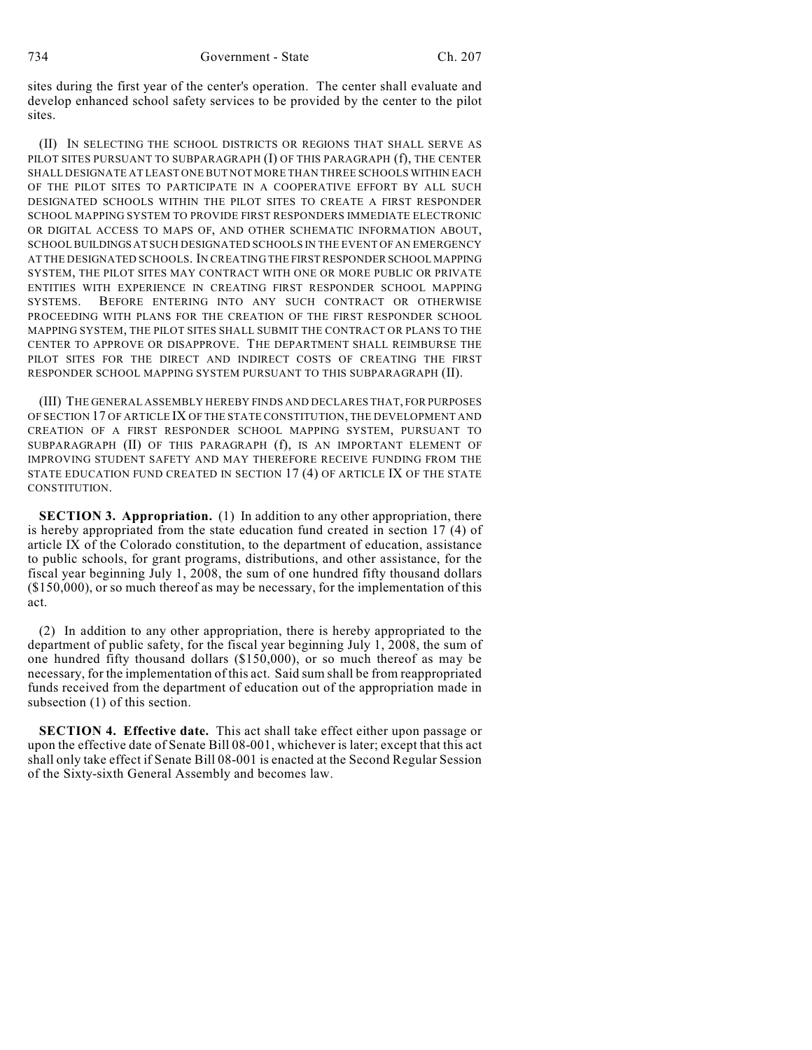sites during the first year of the center's operation. The center shall evaluate and develop enhanced school safety services to be provided by the center to the pilot sites.

(II) IN SELECTING THE SCHOOL DISTRICTS OR REGIONS THAT SHALL SERVE AS PILOT SITES PURSUANT TO SUBPARAGRAPH (I) OF THIS PARAGRAPH (f), THE CENTER SHALL DESIGNATE AT LEAST ONE BUT NOT MORE THAN THREE SCHOOLS WITHIN EACH OF THE PILOT SITES TO PARTICIPATE IN A COOPERATIVE EFFORT BY ALL SUCH DESIGNATED SCHOOLS WITHIN THE PILOT SITES TO CREATE A FIRST RESPONDER SCHOOL MAPPING SYSTEM TO PROVIDE FIRST RESPONDERS IMMEDIATE ELECTRONIC OR DIGITAL ACCESS TO MAPS OF, AND OTHER SCHEMATIC INFORMATION ABOUT, SCHOOL BUILDINGS AT SUCH DESIGNATED SCHOOLS IN THE EVENT OF AN EMERGENCY AT THE DESIGNATED SCHOOLS. IN CREATING THE FIRST RESPONDER SCHOOL MAPPING SYSTEM, THE PILOT SITES MAY CONTRACT WITH ONE OR MORE PUBLIC OR PRIVATE ENTITIES WITH EXPERIENCE IN CREATING FIRST RESPONDER SCHOOL MAPPING SYSTEMS. BEFORE ENTERING INTO ANY SUCH CONTRACT OR OTHERWISE PROCEEDING WITH PLANS FOR THE CREATION OF THE FIRST RESPONDER SCHOOL MAPPING SYSTEM, THE PILOT SITES SHALL SUBMIT THE CONTRACT OR PLANS TO THE CENTER TO APPROVE OR DISAPPROVE. THE DEPARTMENT SHALL REIMBURSE THE PILOT SITES FOR THE DIRECT AND INDIRECT COSTS OF CREATING THE FIRST RESPONDER SCHOOL MAPPING SYSTEM PURSUANT TO THIS SUBPARAGRAPH (II).

(III) THE GENERAL ASSEMBLY HEREBY FINDS AND DECLARES THAT, FOR PURPOSES OF SECTION 17 OF ARTICLE IX OF THE STATE CONSTITUTION, THE DEVELOPMENT AND CREATION OF A FIRST RESPONDER SCHOOL MAPPING SYSTEM, PURSUANT TO SUBPARAGRAPH (II) OF THIS PARAGRAPH (f), IS AN IMPORTANT ELEMENT OF IMPROVING STUDENT SAFETY AND MAY THEREFORE RECEIVE FUNDING FROM THE STATE EDUCATION FUND CREATED IN SECTION 17 (4) OF ARTICLE IX OF THE STATE CONSTITUTION.

**SECTION 3. Appropriation.** (1) In addition to any other appropriation, there is hereby appropriated from the state education fund created in section 17 (4) of article IX of the Colorado constitution, to the department of education, assistance to public schools, for grant programs, distributions, and other assistance, for the fiscal year beginning July 1, 2008, the sum of one hundred fifty thousand dollars (\$150,000), or so much thereof as may be necessary, for the implementation of this act.

(2) In addition to any other appropriation, there is hereby appropriated to the department of public safety, for the fiscal year beginning July 1, 2008, the sum of one hundred fifty thousand dollars (\$150,000), or so much thereof as may be necessary, for the implementation of this act. Said sum shall be from reappropriated funds received from the department of education out of the appropriation made in subsection (1) of this section.

**SECTION 4. Effective date.** This act shall take effect either upon passage or upon the effective date of Senate Bill 08-001, whichever is later; except that this act shall only take effect if Senate Bill 08-001 is enacted at the Second Regular Session of the Sixty-sixth General Assembly and becomes law.